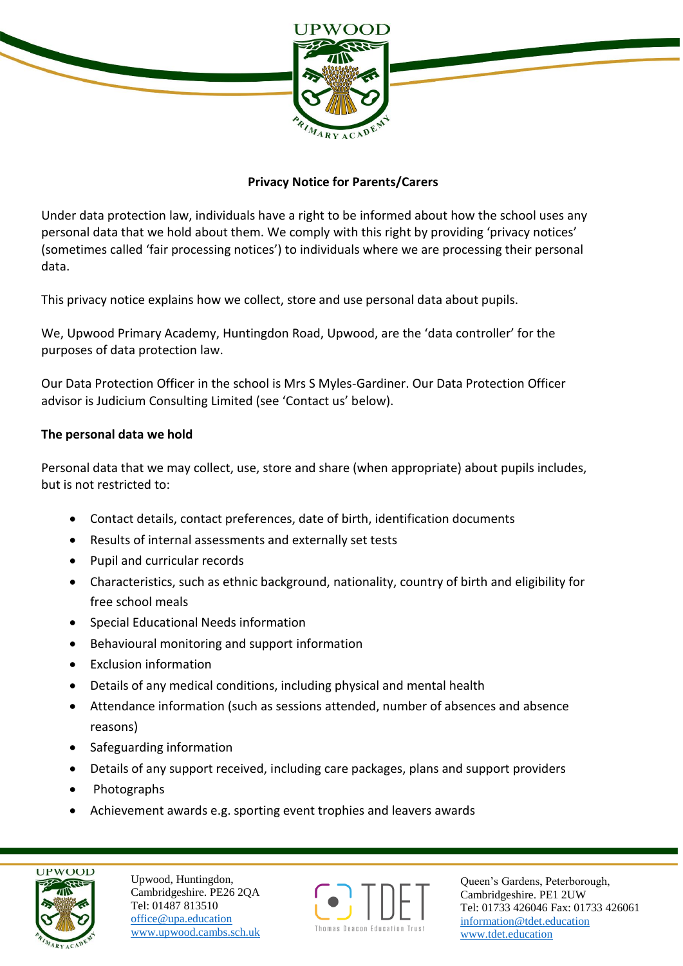

## **Privacy Notice for Parents/Carers**

Under data protection law, individuals have a right to be informed about how the school uses any personal data that we hold about them. We comply with this right by providing 'privacy notices' (sometimes called 'fair processing notices') to individuals where we are processing their personal data.

This privacy notice explains how we collect, store and use personal data about pupils.

We, Upwood Primary Academy, Huntingdon Road, Upwood, are the 'data controller' for the purposes of data protection law.

Our Data Protection Officer in the school is Mrs S Myles-Gardiner. Our Data Protection Officer advisor is Judicium Consulting Limited (see 'Contact us' below).

### **The personal data we hold**

Personal data that we may collect, use, store and share (when appropriate) about pupils includes, but is not restricted to:

- Contact details, contact preferences, date of birth, identification documents
- Results of internal assessments and externally set tests
- Pupil and curricular records
- Characteristics, such as ethnic background, nationality, country of birth and eligibility for free school meals
- Special Educational Needs information
- Behavioural monitoring and support information
- Exclusion information
- Details of any medical conditions, including physical and mental health
- Attendance information (such as sessions attended, number of absences and absence reasons)
- Safeguarding information
- Details of any support received, including care packages, plans and support providers
- Photographs
- Achievement awards e.g. sporting event trophies and leavers awards



Upwood, Huntingdon, Cambridgeshire. PE26 2QA Tel: 01487 813510 office@upa.education [www.upwood.cambs.sch.uk](http://www.upwood.cambs.sch.uk/)

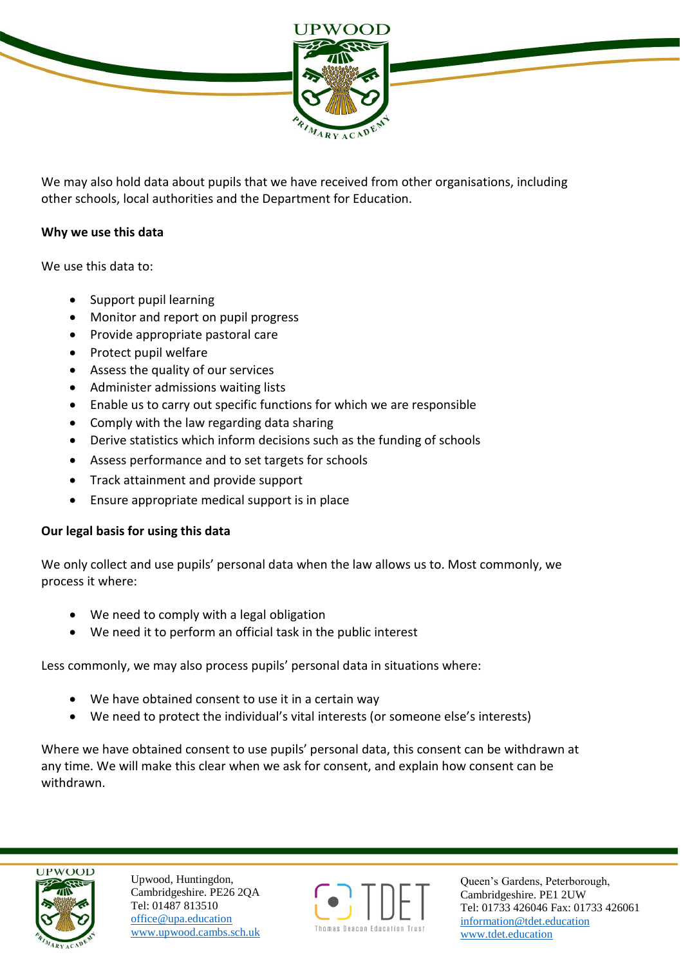

We may also hold data about pupils that we have received from other organisations, including other schools, local authorities and the Department for Education.

## **Why we use this data**

We use this data to:

- Support pupil learning
- Monitor and report on pupil progress
- Provide appropriate pastoral care
- Protect pupil welfare
- Assess the quality of our services
- Administer admissions waiting lists
- Enable us to carry out specific functions for which we are responsible
- Comply with the law regarding data sharing
- Derive statistics which inform decisions such as the funding of schools
- Assess performance and to set targets for schools
- Track attainment and provide support
- Ensure appropriate medical support is in place

## **Our legal basis for using this data**

We only collect and use pupils' personal data when the law allows us to. Most commonly, we process it where:

- We need to comply with a legal obligation
- We need it to perform an official task in the public interest

Less commonly, we may also process pupils' personal data in situations where:

- We have obtained consent to use it in a certain way
- We need to protect the individual's vital interests (or someone else's interests)

Where we have obtained consent to use pupils' personal data, this consent can be withdrawn at any time. We will make this clear when we ask for consent, and explain how consent can be withdrawn.



Upwood, Huntingdon, Cambridgeshire. PE26 2QA Tel: 01487 813510 office@upa.education [www.upwood.cambs.sch.uk](http://www.upwood.cambs.sch.uk/)

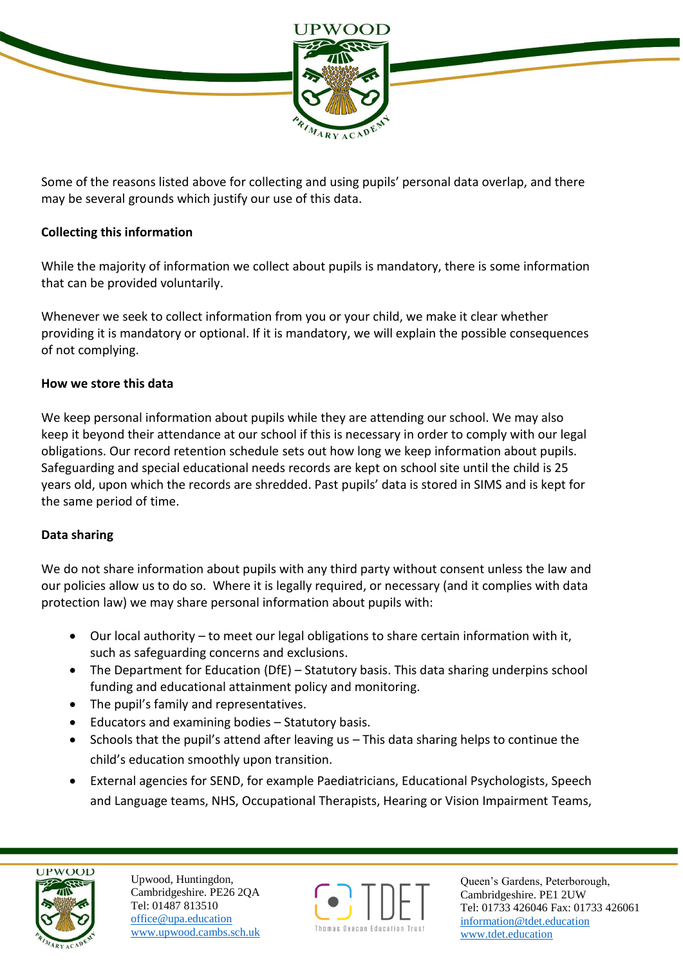

Some of the reasons listed above for collecting and using pupils' personal data overlap, and there may be several grounds which justify our use of this data.

## **Collecting this information**

While the majority of information we collect about pupils is mandatory, there is some information that can be provided voluntarily.

Whenever we seek to collect information from you or your child, we make it clear whether providing it is mandatory or optional. If it is mandatory, we will explain the possible consequences of not complying.

### **How we store this data**

We keep personal information about pupils while they are attending our school. We may also keep it beyond their attendance at our school if this is necessary in order to comply with our legal obligations. Our record retention schedule sets out how long we keep information about pupils. Safeguarding and special educational needs records are kept on school site until the child is 25 years old, upon which the records are shredded. Past pupils' data is stored in SIMS and is kept for the same period of time.

## **Data sharing**

We do not share information about pupils with any third party without consent unless the law and our policies allow us to do so. Where it is legally required, or necessary (and it complies with data protection law) we may share personal information about pupils with:

- Our local authority to meet our legal obligations to share certain information with it, such as safeguarding concerns and exclusions.
- The Department for Education (DfE) Statutory basis. This data sharing underpins school funding and educational attainment policy and monitoring.
- The pupil's family and representatives.
- Educators and examining bodies Statutory basis.
- Schools that the pupil's attend after leaving us This data sharing helps to continue the child's education smoothly upon transition.
- External agencies for SEND, for example Paediatricians, Educational Psychologists, Speech and Language teams, NHS, Occupational Therapists, Hearing or Vision Impairment Teams,



Upwood, Huntingdon, Cambridgeshire. PE26 2QA Tel: 01487 813510 office@upa.education [www.upwood.cambs.sch.uk](http://www.upwood.cambs.sch.uk/)

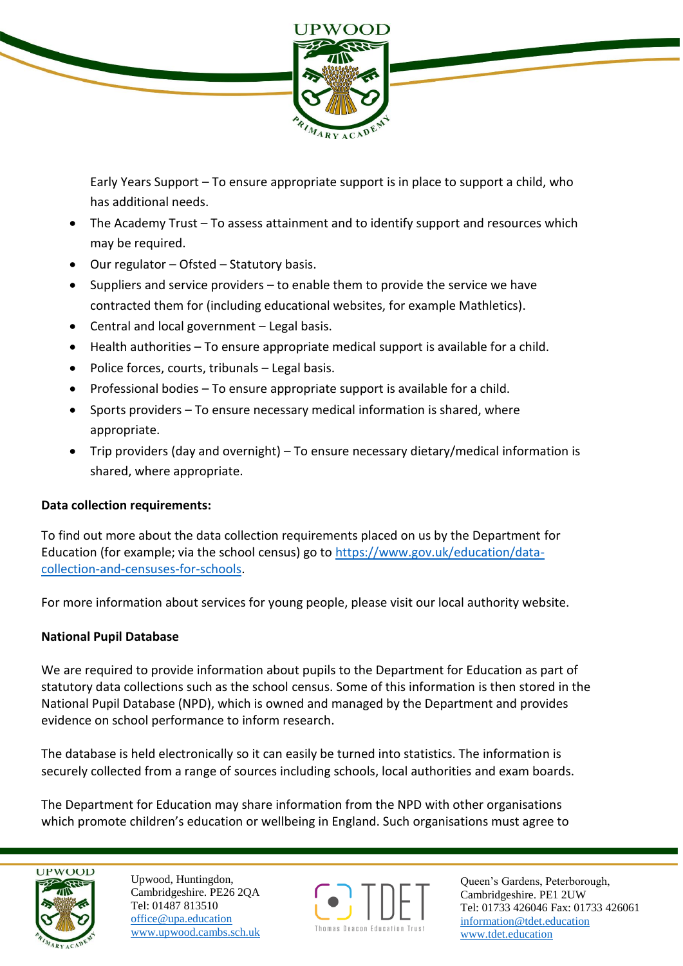

Early Years Support – To ensure appropriate support is in place to support a child, who has additional needs.

- The Academy Trust To assess attainment and to identify support and resources which may be required.
- $\bullet$  Our regulator Ofsted Statutory basis.
- Suppliers and service providers to enable them to provide the service we have contracted them for (including educational websites, for example Mathletics).
- Central and local government Legal basis.
- Health authorities To ensure appropriate medical support is available for a child.
- $\bullet$  Police forces, courts, tribunals Legal basis.
- Professional bodies To ensure appropriate support is available for a child.
- Sports providers To ensure necessary medical information is shared, where appropriate.
- Trip providers (day and overnight) To ensure necessary dietary/medical information is shared, where appropriate.

# **Data collection requirements:**

To find out more about the data collection requirements placed on us by the Department for Education (for example; via the school census) go to [https://www.gov.uk/education/data](https://www.gov.uk/education/data-collection-and-censuses-for-schools)[collection-and-censuses-for-schools.](https://www.gov.uk/education/data-collection-and-censuses-for-schools)

For more information about services for young people, please visit our local authority website.

## **National Pupil Database**

We are required to provide information about pupils to the Department for Education as part of statutory data collections such as the school census. Some of this information is then stored in the National Pupil Database (NPD), which is owned and managed by the Department and provides evidence on school performance to inform research.

The database is held electronically so it can easily be turned into statistics. The information is securely collected from a range of sources including schools, local authorities and exam boards.

The Department for Education may share information from the NPD with other organisations which promote children's education or wellbeing in England. Such organisations must agree to



Upwood, Huntingdon, Cambridgeshire. PE26 2QA Tel: 01487 813510 office@upa.education [www.upwood.cambs.sch.uk](http://www.upwood.cambs.sch.uk/)

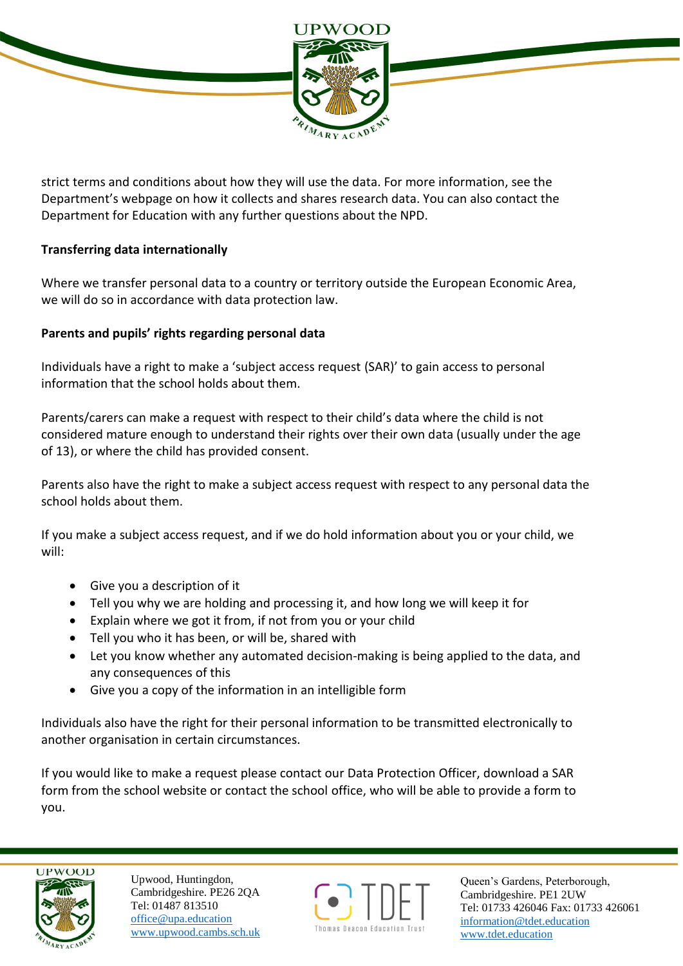

strict terms and conditions about how they will use the data. For more information, see the Department's webpage on how it collects and shares research data. You can also contact the Department for Education with any further questions about the NPD.

## **Transferring data internationally**

Where we transfer personal data to a country or territory outside the European Economic Area, we will do so in accordance with data protection law.

## **Parents and pupils' rights regarding personal data**

Individuals have a right to make a 'subject access request (SAR)' to gain access to personal information that the school holds about them.

Parents/carers can make a request with respect to their child's data where the child is not considered mature enough to understand their rights over their own data (usually under the age of 13), or where the child has provided consent.

Parents also have the right to make a subject access request with respect to any personal data the school holds about them.

If you make a subject access request, and if we do hold information about you or your child, we will:

- Give you a description of it
- Tell you why we are holding and processing it, and how long we will keep it for
- Explain where we got it from, if not from you or your child
- Tell you who it has been, or will be, shared with
- Let you know whether any automated decision-making is being applied to the data, and any consequences of this
- Give you a copy of the information in an intelligible form

Individuals also have the right for their personal information to be transmitted electronically to another organisation in certain circumstances.

If you would like to make a request please contact our Data Protection Officer, download a SAR form from the school website or contact the school office, who will be able to provide a form to you.



Upwood, Huntingdon, Cambridgeshire. PE26 2QA Tel: 01487 813510 office@upa.education [www.upwood.cambs.sch.uk](http://www.upwood.cambs.sch.uk/)

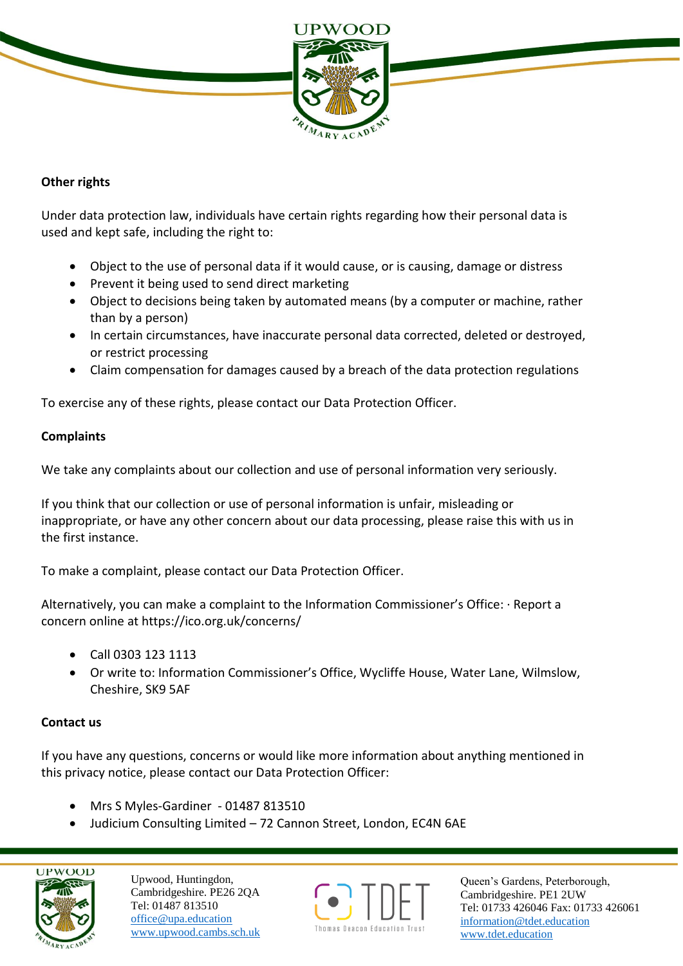

## **Other rights**

Under data protection law, individuals have certain rights regarding how their personal data is used and kept safe, including the right to:

- Object to the use of personal data if it would cause, or is causing, damage or distress
- Prevent it being used to send direct marketing
- Object to decisions being taken by automated means (by a computer or machine, rather than by a person)
- In certain circumstances, have inaccurate personal data corrected, deleted or destroyed, or restrict processing
- Claim compensation for damages caused by a breach of the data protection regulations

To exercise any of these rights, please contact our Data Protection Officer.

### **Complaints**

We take any complaints about our collection and use of personal information very seriously.

If you think that our collection or use of personal information is unfair, misleading or inappropriate, or have any other concern about our data processing, please raise this with us in the first instance.

To make a complaint, please contact our Data Protection Officer.

Alternatively, you can make a complaint to the Information Commissioner's Office: · Report a concern online at https://ico.org.uk/concerns/

- Call 0303 123 1113
- Or write to: Information Commissioner's Office, Wycliffe House, Water Lane, Wilmslow, Cheshire, SK9 5AF

#### **Contact us**

If you have any questions, concerns or would like more information about anything mentioned in this privacy notice, please contact our Data Protection Officer:

- Mrs S Myles-Gardiner 01487 813510
- Judicium Consulting Limited 72 Cannon Street, London, EC4N 6AE



Upwood, Huntingdon, Cambridgeshire. PE26 2QA Tel: 01487 813510 office@upa.education [www.upwood.cambs.sch.uk](http://www.upwood.cambs.sch.uk/)